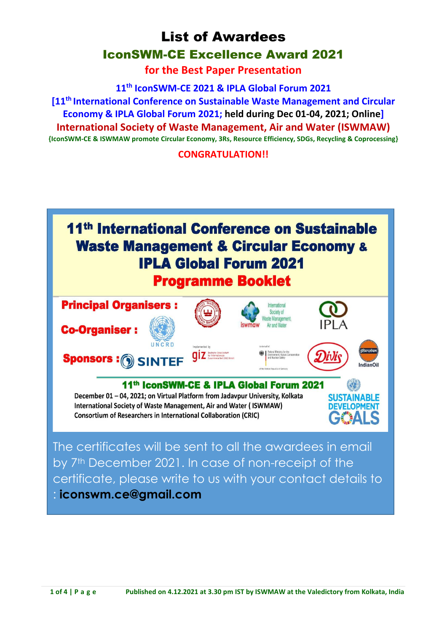**for the Best Paper Presentation**

**11th IconSWM-CE 2021 & IPLA Global Forum 2021**

**[11th International Conference on Sustainable Waste Management and Circular Economy & IPLA Global Forum 2021; held during Dec 01-04, 2021; Online] International Society of Waste Management, Air and Water (ISWMAW) {IconSWM-CE & ISWMAW promote Circular Economy, 3Rs, Resource Efficiency, SDGs, Recycling & Coprocessing}** 

**CONGRATULATION!!**

# 11<sup>th</sup> International Conference on Sustainable **Waste Management & Circular Economy & IPLA Global Forum 2021 Programme Booklet**



The certificates will be sent to all the awardees in email by 7<sup>th</sup> December 2021. In case of non-receipt of the certificate, please write to us with your contact details to : **iconswm.ce@gmail.com**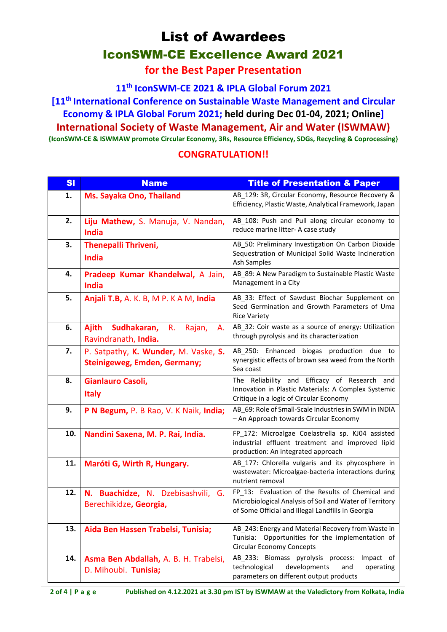**for the Best Paper Presentation**

**11th IconSWM-CE 2021 & IPLA Global Forum 2021**

**[11th International Conference on Sustainable Waste Management and Circular Economy & IPLA Global Forum 2021; held during Dec 01-04, 2021; Online] International Society of Waste Management, Air and Water (ISWMAW) {IconSWM-CE & ISWMAW promote Circular Economy, 3Rs, Resource Efficiency, SDGs, Recycling & Coprocessing}** 

| <b>SI</b> | <b>Name</b>                                                                 | <b>Title of Presentation &amp; Paper</b>                                                                                                                         |
|-----------|-----------------------------------------------------------------------------|------------------------------------------------------------------------------------------------------------------------------------------------------------------|
| 1.        | Ms. Sayaka Ono, Thailand                                                    | AB_129: 3R, Circular Economy, Resource Recovery &<br>Efficiency, Plastic Waste, Analytical Framework, Japan                                                      |
| 2.        | Liju Mathew, S. Manuja, V. Nandan,<br>India                                 | AB_108: Push and Pull along circular economy to<br>reduce marine litter- A case study                                                                            |
| 3.        | <b>Thenepalli Thriveni,</b><br>India                                        | AB_50: Preliminary Investigation On Carbon Dioxide<br>Sequestration of Municipal Solid Waste Incineration<br><b>Ash Samples</b>                                  |
| 4.        | Pradeep Kumar Khandelwal, A Jain,<br>India                                  | AB_89: A New Paradigm to Sustainable Plastic Waste<br>Management in a City                                                                                       |
| 5.        | Anjali T.B, A. K. B, M P. K A M, India                                      | AB_33: Effect of Sawdust Biochar Supplement on<br>Seed Germination and Growth Parameters of Uma<br><b>Rice Variety</b>                                           |
| 6.        | Sudhakaran,<br><b>Ajith</b><br>R.<br>Rajan,<br>А.<br>Ravindranath, India.   | AB_32: Coir waste as a source of energy: Utilization<br>through pyrolysis and its characterization                                                               |
| 7.        | P. Satpathy, K. Wunder, M. Vaske, S.<br><b>Steinigeweg, Emden, Germany;</b> | AB_250: Enhanced biogas production due to<br>synergistic effects of brown sea weed from the North<br>Sea coast                                                   |
| 8.        | Gianlauro Casoli,<br><b>Italy</b>                                           | The Reliability and Efficacy of Research and<br>Innovation in Plastic Materials: A Complex Systemic<br>Critique in a logic of Circular Economy                   |
| 9.        | P N Begum, P. B Rao, V. K Naik, India;                                      | AB_69: Role of Small-Scale Industries in SWM in INDIA<br>- An Approach towards Circular Economy                                                                  |
| 10.       | Nandini Saxena, M. P. Rai, India.                                           | FP_172: Microalgae Coelastrella sp. KJ04 assisted<br>industrial effluent treatment and improved lipid<br>production: An integrated approach                      |
| 11.       | Maróti G, Wirth R, Hungary.                                                 | AB_177: Chlorella vulgaris and its phycosphere in<br>wastewater: Microalgae-bacteria interactions during<br>nutrient removal                                     |
| 12.       | N. Buachidze, N. Dzebisashvili, G.<br>Berechikidze, Georgia,                | FP 13: Evaluation of the Results of Chemical and<br>Microbiological Analysis of Soil and Water of Territory<br>of Some Official and Illegal Landfills in Georgia |
| 13.       | Aida Ben Hassen Trabelsi, Tunisia;                                          | AB_243: Energy and Material Recovery from Waste in<br>Tunisia: Opportunities for the implementation of<br><b>Circular Economy Concepts</b>                       |
| 14.       | Asma Ben Abdallah, A. B. H. Trabelsi,<br>D. Mihoubi. Tunisia;               | AB_233: Biomass pyrolysis process:<br>Impact of<br>technological<br>developments<br>and<br>operating<br>parameters on different output products                  |

### **CONGRATULATION!!**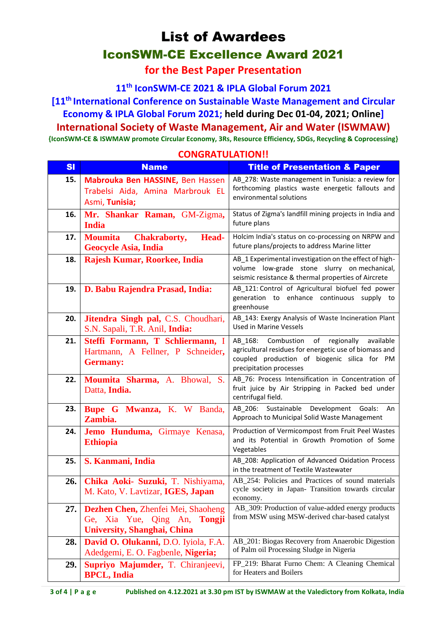**for the Best Paper Presentation**

**11th IconSWM-CE 2021 & IPLA Global Forum 2021**

**[11th International Conference on Sustainable Waste Management and Circular Economy & IPLA Global Forum 2021; held during Dec 01-04, 2021; Online] International Society of Waste Management, Air and Water (ISWMAW) {IconSWM-CE & ISWMAW promote Circular Economy, 3Rs, Resource Efficiency, SDGs, Recycling & Coprocessing}** 

| s <sub>l</sub> | <b>Name</b>                                                                                                        | <b>Title of Presentation &amp; Paper</b>                                                                                                                                                    |
|----------------|--------------------------------------------------------------------------------------------------------------------|---------------------------------------------------------------------------------------------------------------------------------------------------------------------------------------------|
| 15.            | Mabrouka Ben HASSINE, Ben Hassen<br>Trabelsi Aida, Amina Marbrouk EL<br>Asmi, Tunisia;                             | AB_278: Waste management in Tunisia: a review for<br>forthcoming plastics waste energetic fallouts and<br>environmental solutions                                                           |
| 16.            | Mr. Shankar Raman, GM-Zigma,<br><b>India</b>                                                                       | Status of Zigma's landfill mining projects in India and<br>future plans                                                                                                                     |
| 17.            | <b>Moumita</b><br><b>Chakraborty,</b><br>Head-<br><b>Geocycle Asia, India</b>                                      | Holcim India's status on co-processing on NRPW and<br>future plans/projects to address Marine litter                                                                                        |
| 18.            | Rajesh Kumar, Roorkee, India                                                                                       | AB_1 Experimental investigation on the effect of high-<br>volume low-grade stone slurry on mechanical,<br>seismic resistance & thermal properties of Aircrete                               |
| 19.            | D. Babu Rajendra Prasad, India:                                                                                    | AB_121: Control of Agricultural biofuel fed power<br>generation to enhance continuous supply to<br>greenhouse                                                                               |
| 20.            | Jitendra Singh pal, C.S. Choudhari,<br>S.N. Sapali, T.R. Anil, India:                                              | AB_143: Exergy Analysis of Waste Incineration Plant<br><b>Used in Marine Vessels</b>                                                                                                        |
| 21.            | Steffi Formann, T Schliermann, I<br>Hartmann, A Fellner, P Schneider,<br><b>Germany:</b>                           | Combustion<br>of<br>regionally<br>available<br>AB 168:<br>agricultural residues for energetic use of biomass and<br>coupled production of biogenic silica for PM<br>precipitation processes |
| 22.            | Moumita Sharma, A. Bhowal, S.<br>Datta, India.                                                                     | AB 76: Process Intensification in Concentration of<br>fruit juice by Air Stripping in Packed bed under<br>centrifugal field.                                                                |
| 23.            | Bupe G Mwanza, K. W Banda,<br>Zambia.                                                                              | AB_206: Sustainable Development Goals:<br>An<br>Approach to Municipal Solid Waste Management                                                                                                |
| 24.            | Jemo Hunduma, Girmaye Kenasa,<br><b>Ethiopia</b>                                                                   | Production of Vermicompost from Fruit Peel Wastes<br>and its Potential in Growth Promotion of Some<br>Vegetables                                                                            |
| 25.            | S. Kanmani, India                                                                                                  | AB_208: Application of Advanced Oxidation Process<br>in the treatment of Textile Wastewater                                                                                                 |
| 26.            | Chika Aoki- Suzuki, T. Nishiyama,<br>M. Kato, V. Lavtizar, IGES, Japan                                             | AB 254: Policies and Practices of sound materials<br>cycle society in Japan- Transition towards circular<br>economy.                                                                        |
| 27.            | Dezhen Chen, Zhenfei Mei, Shaoheng<br>Ge, Xia Yue, Qing An,<br><b>Tongji</b><br><b>University, Shanghai, China</b> | AB_309: Production of value-added energy products<br>from MSW using MSW-derived char-based catalyst                                                                                         |
| 28.            | David O. Olukanni, D.O. Iyiola, F.A.<br>Adedgemi, E. O. Fagbenle, Nigeria;                                         | AB_201: Biogas Recovery from Anaerobic Digestion<br>of Palm oil Processing Sludge in Nigeria                                                                                                |
| 29.            | Supriyo Majumder, T. Chiranjeevi,<br><b>BPCL, India</b>                                                            | FP_219: Bharat Furno Chem: A Cleaning Chemical<br>for Heaters and Boilers                                                                                                                   |

#### **CONGRATULATION!!**